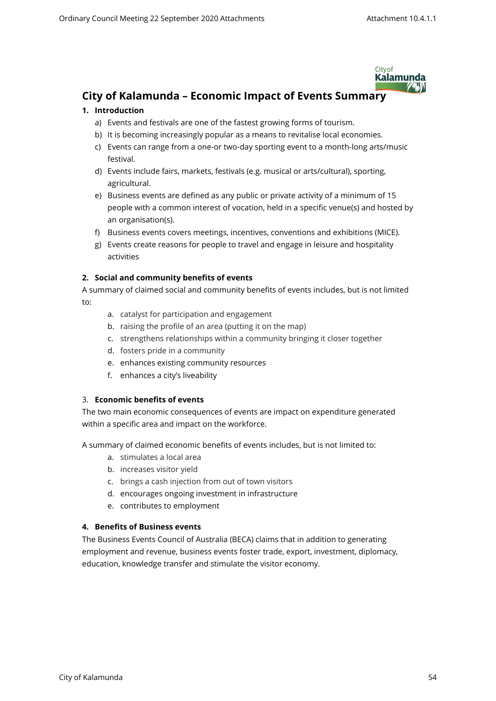

# **City of Kalamunda – Economic Impact of Events Summary**

# **1. Introduction**

- a) Events and festivals are one of the fastest growing forms of tourism.
- b) It is becoming increasingly popular as a means to revitalise local economies.
- c) Events can range from a one-or two-day sporting event to a month-long arts/music festival.
- d) Events include fairs, markets, festivals (e.g. musical or arts/cultural), sporting, agricultural.
- e) Business events are defined as any public or private activity of a minimum of 15 people with a common interest of vocation, held in a specific venue(s) and hosted by an organisation(s).
- f) Business events covers meetings, incentives, conventions and exhibitions (MICE).
- g) Events create reasons for people to travel and engage in leisure and hospitality activities

# **2. Social and community benefits of events**

- A summary of claimed social and community benefits of events includes, but is not limited to:
	- a. catalyst for participation and engagement
	- b. raising the profile of an area (putting it on the map)
	- c. strengthens relationships within a community bringing it closer together
	- d. fosters pride in a community
	- e. enhances existing community resources
	- f. enhances a city's liveability

#### 3. **Economic benefits of events**

The two main economic consequences of events are impact on expenditure generated within a specific area and impact on the workforce.

A summary of claimed economic benefits of events includes, but is not limited to:

- a. stimulates a local area
- b. increases visitor yield
- c. brings a cash injection from out of town visitors
- d. encourages ongoing investment in infrastructure
- e. contributes to employment

# **4. Benefits of Business events**

The Business Events Council of Australia (BECA) claims that in addition to generating employment and revenue, business events foster trade, export, investment, diplomacy, education, knowledge transfer and stimulate the visitor economy.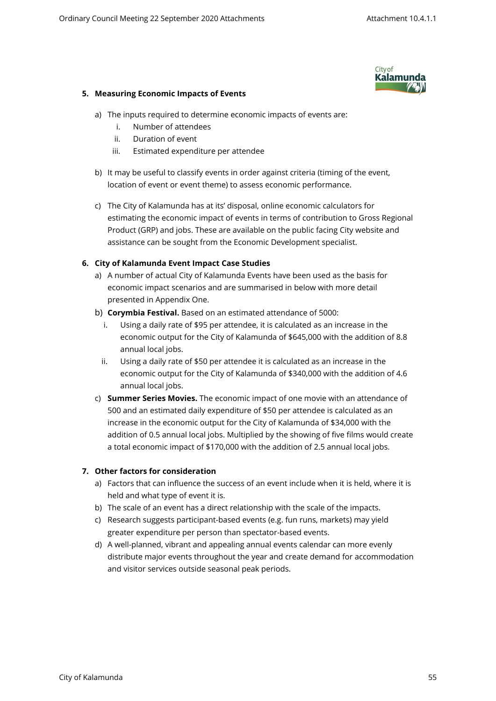

## **5. Measuring Economic Impacts of Events**

- a) The inputs required to determine economic impacts of events are:
	- i. Number of attendees
	- ii. Duration of event
	- iii. Estimated expenditure per attendee
- b) It may be useful to classify events in order against criteria (timing of the event, location of event or event theme) to assess economic performance.
- c) The City of Kalamunda has at its' disposal, online economic calculators for estimating the economic impact of events in terms of contribution to Gross Regional Product (GRP) and jobs. These are available on the public facing City website and assistance can be sought from the Economic Development specialist.

# **6. City of Kalamunda Event Impact Case Studies**

- a) A number of actual City of Kalamunda Events have been used as the basis for economic impact scenarios and are summarised in below with more detail presented in Appendix One.
- b) **Corymbia Festival.** Based on an estimated attendance of 5000:
	- i. Using a daily rate of \$95 per attendee, it is calculated as an increase in the economic output for the City of Kalamunda of \$645,000 with the addition of 8.8 annual local jobs.
	- ii. Using a daily rate of \$50 per attendee it is calculated as an increase in the economic output for the City of Kalamunda of \$340,000 with the addition of 4.6 annual local jobs.
- c) **Summer Series Movies.** The economic impact of one movie with an attendance of 500 and an estimated daily expenditure of \$50 per attendee is calculated as an increase in the economic output for the City of Kalamunda of \$34,000 with the addition of 0.5 annual local jobs. Multiplied by the showing of five films would create a total economic impact of \$170,000 with the addition of 2.5 annual local jobs.

# **7. Other factors for consideration**

- a) Factors that can influence the success of an event include when it is held, where it is held and what type of event it is.
- b) The scale of an event has a direct relationship with the scale of the impacts.
- c) Research suggests participant-based events (e.g. fun runs, markets) may yield greater expenditure per person than spectator-based events.
- d) A well-planned, vibrant and appealing annual events calendar can more evenly distribute major events throughout the year and create demand for accommodation and visitor services outside seasonal peak periods.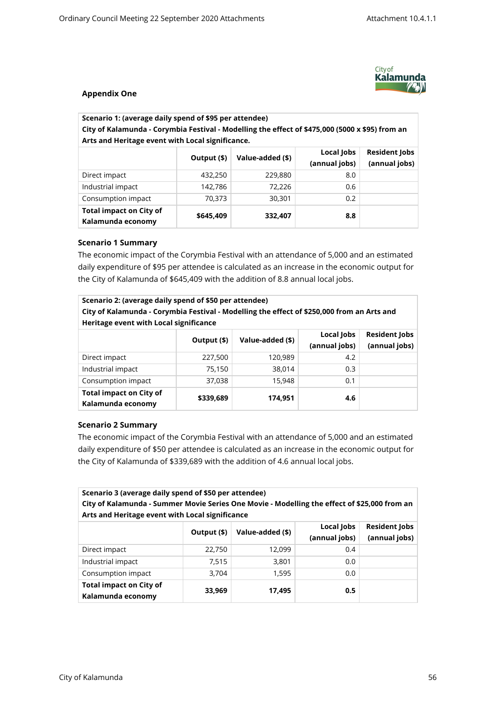

## **Appendix One**

| Scenario 1: (average daily spend of \$95 per attendee)<br>City of Kalamunda - Corymbia Festival - Modelling the effect of \$475,000 (5000 x \$95) from an<br>Arts and Heritage event with Local significance. |             |                  |                             |                                       |
|---------------------------------------------------------------------------------------------------------------------------------------------------------------------------------------------------------------|-------------|------------------|-----------------------------|---------------------------------------|
|                                                                                                                                                                                                               | Output (\$) | Value-added (\$) | Local Jobs<br>(annual jobs) | <b>Resident Jobs</b><br>(annual jobs) |
| Direct impact                                                                                                                                                                                                 | 432,250     | 229,880          | 8.0                         |                                       |
| Industrial impact                                                                                                                                                                                             | 142.786     | 72.226           | 0.6                         |                                       |

Consumption impact  $\begin{array}{|c|c|c|c|c|c|c|c|} \hline \end{array}$  70,373 30,301 0.2

#### **Scenario 1 Summary**

**Total impact on City of Kalamunda economy**

The economic impact of the Corymbia Festival with an attendance of 5,000 and an estimated daily expenditure of \$95 per attendee is calculated as an increase in the economic output for the City of Kalamunda of \$645,409 with the addition of 8.8 annual local jobs.

**\$645,409 332,407 8.8**

| Scenario 2: (average daily spend of \$50 per attendee)<br>City of Kalamunda - Corymbia Festival - Modelling the effect of \$250,000 from an Arts and<br>Heritage event with Local significance |             |                  |                             |                                       |
|------------------------------------------------------------------------------------------------------------------------------------------------------------------------------------------------|-------------|------------------|-----------------------------|---------------------------------------|
|                                                                                                                                                                                                | Output (\$) | Value-added (\$) | Local Jobs<br>(annual jobs) | <b>Resident Jobs</b><br>(annual jobs) |
| Direct impact                                                                                                                                                                                  | 227,500     | 120,989          | 4.2                         |                                       |
| Industrial impact                                                                                                                                                                              | 75,150      | 38,014           | 0.3                         |                                       |
| Consumption impact                                                                                                                                                                             | 37,038      | 15,948           | 0.1                         |                                       |
| <b>Total impact on City of</b><br>Kalamunda economy                                                                                                                                            | \$339,689   | 174.951          | 4.6                         |                                       |

#### **Scenario 2 Summary**

The economic impact of the Corymbia Festival with an attendance of 5,000 and an estimated daily expenditure of \$50 per attendee is calculated as an increase in the economic output for the City of Kalamunda of \$339,689 with the addition of 4.6 annual local jobs.

| Scenario 3 (average daily spend of \$50 per attendee)<br>City of Kalamunda - Summer Movie Series One Movie - Modelling the effect of \$25,000 from an<br>Arts and Heritage event with Local significance |             |                  |                             |                                       |
|----------------------------------------------------------------------------------------------------------------------------------------------------------------------------------------------------------|-------------|------------------|-----------------------------|---------------------------------------|
|                                                                                                                                                                                                          | Output (\$) | Value-added (\$) | Local Jobs<br>(annual jobs) | <b>Resident Jobs</b><br>(annual jobs) |
| Direct impact                                                                                                                                                                                            | 22,750      | 12,099           | 0.4                         |                                       |
| Industrial impact                                                                                                                                                                                        | 7,515       | 3,801            | 0.0                         |                                       |
| Consumption impact                                                                                                                                                                                       | 3,704       | 1,595            | 0.0                         |                                       |
| <b>Total impact on City of</b><br>Kalamunda economy                                                                                                                                                      | 33,969      | 17,495           | 0.5                         |                                       |